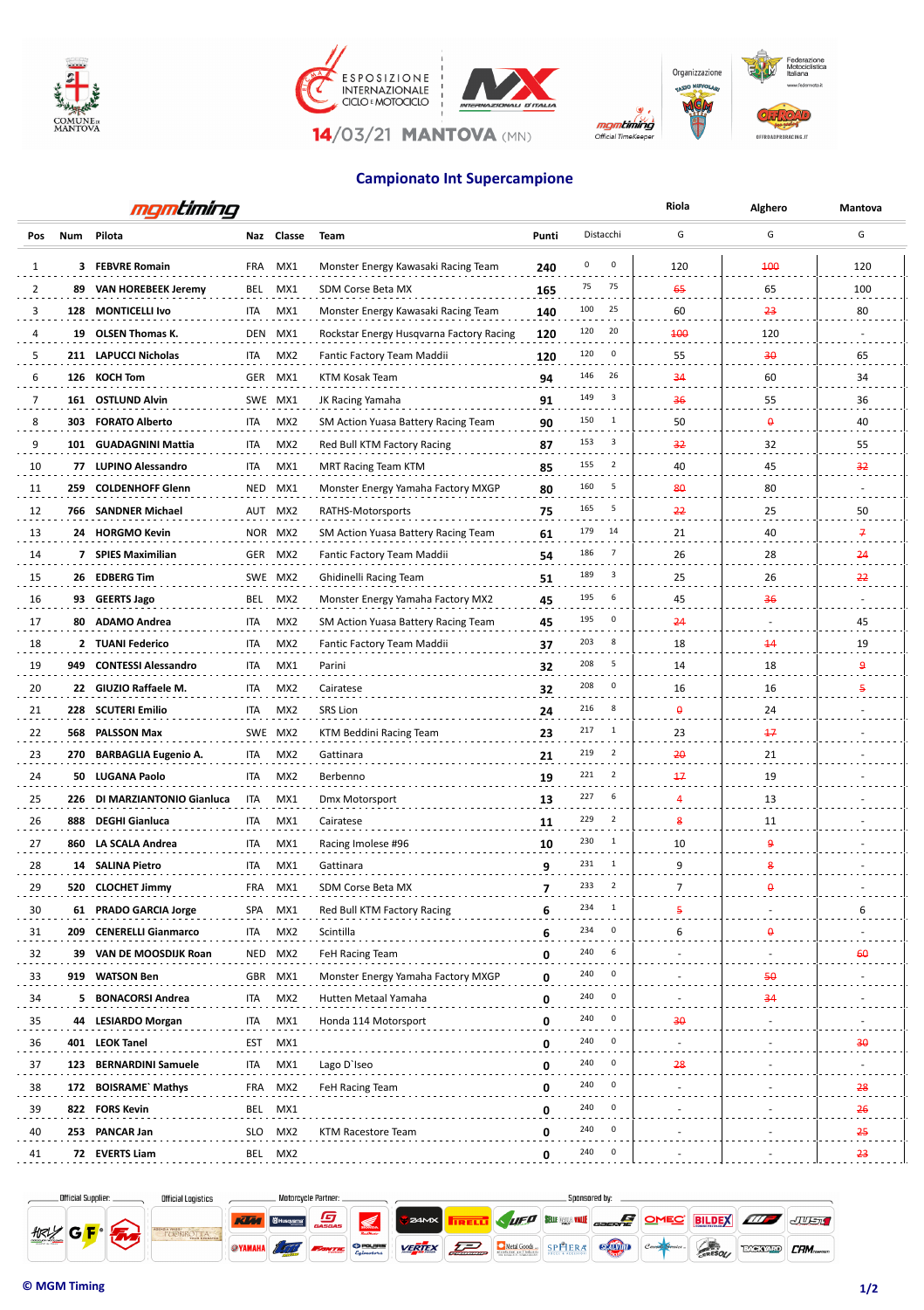



## **Campionato Int Supercampione**

|                | mgmtiming |                              |            |                 |                                          |       |                       | Riola                 | Alghero                   | <b>Mantova</b>  |
|----------------|-----------|------------------------------|------------|-----------------|------------------------------------------|-------|-----------------------|-----------------------|---------------------------|-----------------|
| Pos            |           | Num Pilota                   |            | Naz Classe      | Team                                     | Punti | Distacchi             | G                     | G                         | G               |
| 1              |           | 3 FEBVRE Romain              | FRA        | MX1             | Monster Energy Kawasaki Racing Team      | 240   | 0<br>0                | 120                   | 400                       | 120             |
| $\overline{2}$ |           | 89 VAN HOREBEEK Jeremy       | BEL        | MX1             | SDM Corse Beta MX                        | 165   | 75<br>75              | 65                    | 65                        | 100             |
| 3              |           | 128 MONTICELLI Ivo           | ITA        | MX1             | Monster Energy Kawasaki Racing Team      | 140   | 25<br>100             | 60                    | 23                        | 80              |
| 4              |           | 19 OLSEN Thomas K.           | DEN        | MX1             | Rockstar Energy Husqvarna Factory Racing | 120   | 120<br>20             | 100                   | 120                       |                 |
| 5              |           | 211 LAPUCCI Nicholas         | ITA        | MX <sub>2</sub> | Fantic Factory Team Maddii               | 120   | 120<br>0              | 55                    | 30                        | 65              |
| 6              |           | 126 KOCH Tom                 |            | GER MX1         | KTM Kosak Team                           | 94    | 146<br>26             | 34                    | 60                        | 34              |
| 7              |           | 161 OSTLUND Alvin            |            | SWE MX1         | JK Racing Yamaha                         | 91    | 149<br>3              | 36                    | 55                        | 36              |
| 8              |           | 303 FORATO Alberto           | ITA        | MX <sub>2</sub> | SM Action Yuasa Battery Racing Team      | 90    | 150<br>$\mathbf{1}$   | 50                    | $\boldsymbol{\theta}$     | 40              |
| 9              |           | 101 GUADAGNINI Mattia        | <b>ITA</b> | MX <sub>2</sub> | Red Bull KTM Factory Racing              | 87    | 153<br>3              | 32                    | 32                        | 55              |
| 10             |           | 77 LUPINO Alessandro         | ita        | MX1             | MRT Racing Team KTM                      | 85    | 155<br>$\overline{2}$ | 40                    | 45                        | 32              |
| 11             |           | 259 COLDENHOFF Glenn         |            | NED MX1         | Monster Energy Yamaha Factory MXGP       | 80    | 5<br>160              | 80                    | 80                        |                 |
| 12             |           | 766 SANDNER Michael          |            | AUT MX2         | RATHS-Motorsports                        | 75    | 165<br>5              | 22                    | 25                        | 50              |
| 13             |           | 24 HORGMO Kevin              |            | NOR MX2         | SM Action Yuasa Battery Racing Team      | 61    | 179<br>14             | 21                    | 40                        | 7               |
| 14             |           | 7 SPIES Maximilian           |            | GER MX2         | Fantic Factory Team Maddii               | 54    | 186<br>$\overline{7}$ | 26                    | 28                        | 24              |
| 15             |           | 26 EDBERG Tim                |            | SWE MX2         | Ghidinelli Racing Team                   | 51    | 189<br>3              | 25                    | 26                        | 22              |
| 16             |           | 93 GEERTS Jago               | BEL        | MX2             | Monster Energy Yamaha Factory MX2        | 45    | 6<br>195              | 45                    | 36                        |                 |
| 17             |           | 80 ADAMO Andrea              | ITA        | MX2             | SM Action Yuasa Battery Racing Team      | 45    | 195<br>0              | 24                    |                           | 45              |
| 18             |           | 2 TUANI Federico             | ITA        | MX <sub>2</sub> | Fantic Factory Team Maddii               | 37    | 203<br>8              | 18                    | $\overline{14}$           | 19              |
| 19             |           | 949 CONTESSI Alessandro      | ITA        | MX1             | Parini                                   | 32    | 208<br>5              | 14                    | 18                        | 9               |
| 20             |           | 22 GIUZIO Raffaele M.        | ITA        | MX <sub>2</sub> | Cairatese                                | 32    | 208<br>0              | 16                    | 16                        | 5               |
| 21             |           | 228 SCUTERI Emilio           | ITA        | MX <sub>2</sub> | <b>SRS Lion</b>                          | 24    | 8<br>216              | $\boldsymbol{\theta}$ | 24                        |                 |
| 22             |           | 568 PALSSON Max              |            | SWE MX2         | KTM Beddini Racing Team                  | 23    | 217<br>1              | 23                    | 17                        |                 |
| 23             |           | 270 BARBAGLIA Eugenio A.     | ITA        | MX <sub>2</sub> | Gattinara                                | 21    | 219<br>$\overline{2}$ | 20                    | 21                        |                 |
| 24             |           | 50 LUGANA Paolo              | ITA        | MX <sub>2</sub> | Berbenno                                 | 19    | 221<br>$\overline{2}$ | $+7$                  | 19                        |                 |
| 25             |           | 226 DI MARZIANTONIO Gianluca | ITA        | MX1             | Dmx Motorsport                           | 13    | 227<br>6              | 4                     | 13                        |                 |
| 26             |           | 888 DEGHI Gianluca           | ITA        | MX1             | Cairatese                                | 11    | 229<br>$\overline{2}$ | 8                     | 11                        |                 |
| 27             |           | 860 LA SCALA Andrea          | ITA        | MX1             | Racing Imolese #96                       | 10    | 230<br>1              | 10                    | 9                         |                 |
| 28             |           | 14 SALINA Pietro             | ITA        | MX1             | Gattinara                                | 9     | 231<br>$\mathbf{1}$   | 9                     | 8                         |                 |
| 29             |           | 520 CLOCHET Jimmy            | FRA        | MX1             | SDM Corse Beta MX                        | 7     | $\overline{2}$<br>233 | $\overline{7}$        | $\boldsymbol{\theta}$     |                 |
| 30             |           | 61 PRADO GARCIA Jorge        |            | SPA MX1         | Red Bull KTM Factory Racing              | 6     | 234<br>1              | 5                     |                           | 6               |
| 31             |           | 209 CENERELLI Gianmarco      | ITA        | MX2             | Scintilla                                | 6     | 234<br>0              | 6                     | $\boldsymbol{\mathsf{o}}$ |                 |
| 32             |           | 39 VAN DE MOOSDIJK Roan      |            | NED MX2         | FeH Racing Team                          | 0     | 240<br>6              |                       |                           | 60              |
| 33             |           | 919 WATSON Ben               |            | GBR MX1         | Monster Energy Yamaha Factory MXGP       | 0     | 240<br>0              |                       | 50                        |                 |
| 34             |           | 5 BONACORSI Andrea           | ITA        | MX <sub>2</sub> | Hutten Metaal Yamaha                     | 0     | 240<br>0              |                       | 34                        |                 |
| 35             |           | 44 LESIARDO Morgan           | ITA        | MX1             | Honda 114 Motorsport                     | 0     | 240<br>0              | 30                    |                           |                 |
| 36             |           | 401 LEOK Tanel               | EST        | MX1             |                                          | 0     | 240<br>0              |                       |                           | $\overline{30}$ |
| 37             |           | 123 BERNARDINI Samuele       | ITA        | MX1             | Lago D'Iseo                              | 0     | 240<br>0              | 28                    |                           |                 |
| 38             |           | 172 BOISRAME` Mathys         | FRA        | MX2             | FeH Racing Team                          | 0     | 240<br>0              |                       |                           | 28              |
| 39             |           | 822 FORS Kevin               |            | BEL MX1         |                                          | 0     | 240<br>0              |                       |                           | 26              |
| 40             |           | 253 PANCAR Jan               |            | SLO MX2         | KTM Racestore Team                       | 0     | 240<br>0              |                       |                           | 25              |
| 41             |           | 72 EVERTS Liam               |            | BEL MX2         |                                          | 0     | 240<br>0              |                       |                           | 23              |
|                |           |                              |            |                 |                                          |       |                       |                       |                           |                 |